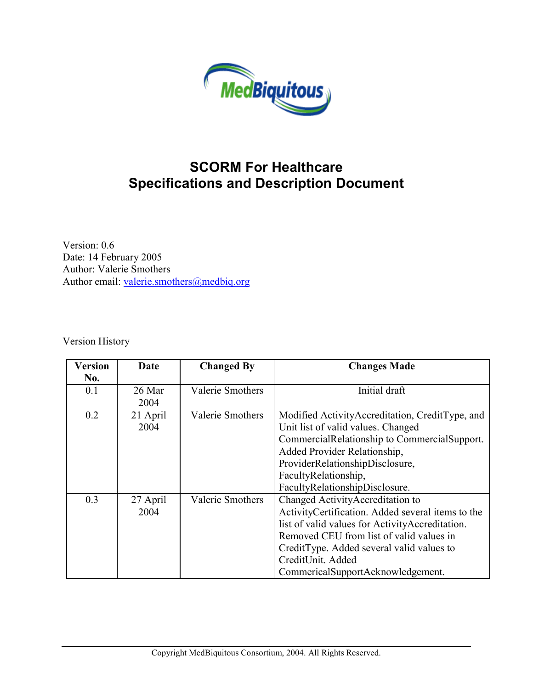

### **SCORM For Healthcare Specifications and Description Document**

Version: 0.6 Date: 14 February 2005 Author: Valerie Smothers Author email: [valerie.smothers@medbiq.org](mailto:valerie.smothers@medbiq.org)

Version History

| <b>Version</b> | Date     | <b>Changed By</b>       | <b>Changes Made</b>                               |
|----------------|----------|-------------------------|---------------------------------------------------|
| No.            |          |                         |                                                   |
| 0.1            | 26 Mar   | <b>Valerie Smothers</b> | Initial draft                                     |
|                | 2004     |                         |                                                   |
| 0.2            | 21 April | <b>Valerie Smothers</b> | Modified Activity Accreditation, Credit Type, and |
|                | 2004     |                         | Unit list of valid values. Changed                |
|                |          |                         | CommercialRelationship to CommercialSupport.      |
|                |          |                         | Added Provider Relationship,                      |
|                |          |                         | ProviderRelationshipDisclosure,                   |
|                |          |                         | FacultyRelationship,                              |
|                |          |                         | FacultyRelationshipDisclosure.                    |
| 0.3            | 27 April | <b>Valerie Smothers</b> | Changed Activity Accreditation to                 |
|                | 2004     |                         | ActivityCertification. Added several items to the |
|                |          |                         | list of valid values for Activity Accreditation.  |
|                |          |                         | Removed CEU from list of valid values in          |
|                |          |                         | CreditType. Added several valid values to         |
|                |          |                         | CreditUnit. Added                                 |
|                |          |                         | CommericalSupportAcknowledgement.                 |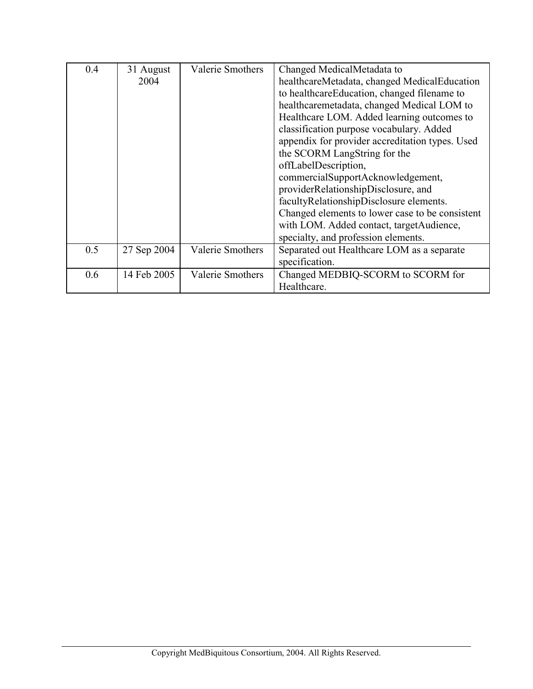| 0.4 | 31 August   | <b>Valerie Smothers</b> | Changed MedicalMetadata to                      |
|-----|-------------|-------------------------|-------------------------------------------------|
|     | 2004        |                         | healthcareMetadata, changed MedicalEducation    |
|     |             |                         | to healthcareEducation, changed filename to     |
|     |             |                         | healthcaremetadata, changed Medical LOM to      |
|     |             |                         | Healthcare LOM. Added learning outcomes to      |
|     |             |                         | classification purpose vocabulary. Added        |
|     |             |                         | appendix for provider accreditation types. Used |
|     |             |                         | the SCORM LangString for the                    |
|     |             |                         | offLabelDescription,                            |
|     |             |                         | commercialSupportAcknowledgement,               |
|     |             |                         | providerRelationshipDisclosure, and             |
|     |             |                         | facultyRelationshipDisclosure elements.         |
|     |             |                         | Changed elements to lower case to be consistent |
|     |             |                         | with LOM. Added contact, target Audience,       |
|     |             |                         | specialty, and profession elements.             |
| 0.5 | 27 Sep 2004 | <b>Valerie Smothers</b> | Separated out Healthcare LOM as a separate      |
|     |             |                         | specification.                                  |
| 0.6 | 14 Feb 2005 | <b>Valerie Smothers</b> | Changed MEDBIQ-SCORM to SCORM for               |
|     |             |                         | Healthcare.                                     |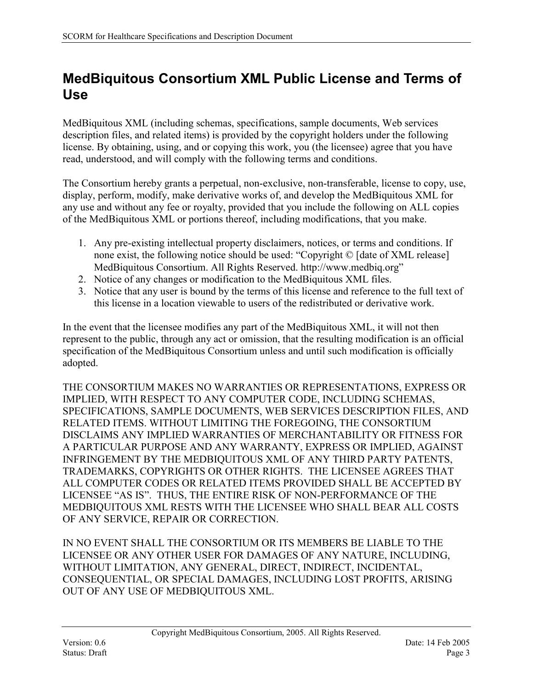### <span id="page-2-0"></span>**MedBiquitous Consortium XML Public License and Terms of Use**

MedBiquitous XML (including schemas, specifications, sample documents, Web services description files, and related items) is provided by the copyright holders under the following license. By obtaining, using, and or copying this work, you (the licensee) agree that you have read, understood, and will comply with the following terms and conditions.

The Consortium hereby grants a perpetual, non-exclusive, non-transferable, license to copy, use, display, perform, modify, make derivative works of, and develop the MedBiquitous XML for any use and without any fee or royalty, provided that you include the following on ALL copies of the MedBiquitous XML or portions thereof, including modifications, that you make.

- 1. Any pre-existing intellectual property disclaimers, notices, or terms and conditions. If none exist, the following notice should be used: "Copyright © [date of XML release] MedBiquitous Consortium. All Rights Reserved. http://www.medbiq.org"
- 2. Notice of any changes or modification to the MedBiquitous XML files.
- 3. Notice that any user is bound by the terms of this license and reference to the full text of this license in a location viewable to users of the redistributed or derivative work.

In the event that the licensee modifies any part of the MedBiquitous XML, it will not then represent to the public, through any act or omission, that the resulting modification is an official specification of the MedBiquitous Consortium unless and until such modification is officially adopted.

THE CONSORTIUM MAKES NO WARRANTIES OR REPRESENTATIONS, EXPRESS OR IMPLIED, WITH RESPECT TO ANY COMPUTER CODE, INCLUDING SCHEMAS, SPECIFICATIONS, SAMPLE DOCUMENTS, WEB SERVICES DESCRIPTION FILES, AND RELATED ITEMS. WITHOUT LIMITING THE FOREGOING, THE CONSORTIUM DISCLAIMS ANY IMPLIED WARRANTIES OF MERCHANTABILITY OR FITNESS FOR A PARTICULAR PURPOSE AND ANY WARRANTY, EXPRESS OR IMPLIED, AGAINST INFRINGEMENT BY THE MEDBIQUITOUS XML OF ANY THIRD PARTY PATENTS, TRADEMARKS, COPYRIGHTS OR OTHER RIGHTS. THE LICENSEE AGREES THAT ALL COMPUTER CODES OR RELATED ITEMS PROVIDED SHALL BE ACCEPTED BY LICENSEE "AS IS". THUS, THE ENTIRE RISK OF NON-PERFORMANCE OF THE MEDBIQUITOUS XML RESTS WITH THE LICENSEE WHO SHALL BEAR ALL COSTS OF ANY SERVICE, REPAIR OR CORRECTION.

IN NO EVENT SHALL THE CONSORTIUM OR ITS MEMBERS BE LIABLE TO THE LICENSEE OR ANY OTHER USER FOR DAMAGES OF ANY NATURE, INCLUDING, WITHOUT LIMITATION, ANY GENERAL, DIRECT, INDIRECT, INCIDENTAL, CONSEQUENTIAL, OR SPECIAL DAMAGES, INCLUDING LOST PROFITS, ARISING OUT OF ANY USE OF MEDBIQUITOUS XML.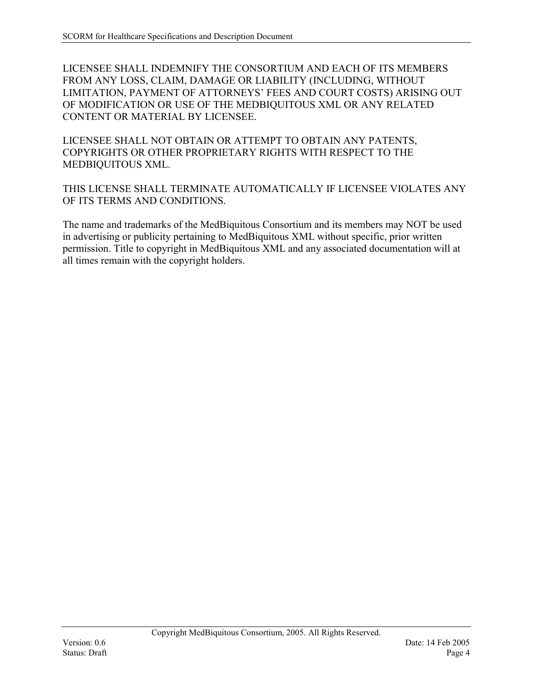LICENSEE SHALL INDEMNIFY THE CONSORTIUM AND EACH OF ITS MEMBERS FROM ANY LOSS, CLAIM, DAMAGE OR LIABILITY (INCLUDING, WITHOUT LIMITATION, PAYMENT OF ATTORNEYS' FEES AND COURT COSTS) ARISING OUT OF MODIFICATION OR USE OF THE MEDBIQUITOUS XML OR ANY RELATED CONTENT OR MATERIAL BY LICENSEE.

LICENSEE SHALL NOT OBTAIN OR ATTEMPT TO OBTAIN ANY PATENTS, COPYRIGHTS OR OTHER PROPRIETARY RIGHTS WITH RESPECT TO THE MEDBIQUITOUS XML.

THIS LICENSE SHALL TERMINATE AUTOMATICALLY IF LICENSEE VIOLATES ANY OF ITS TERMS AND CONDITIONS.

The name and trademarks of the MedBiquitous Consortium and its members may NOT be used in advertising or publicity pertaining to MedBiquitous XML without specific, prior written permission. Title to copyright in MedBiquitous XML and any associated documentation will at all times remain with the copyright holders.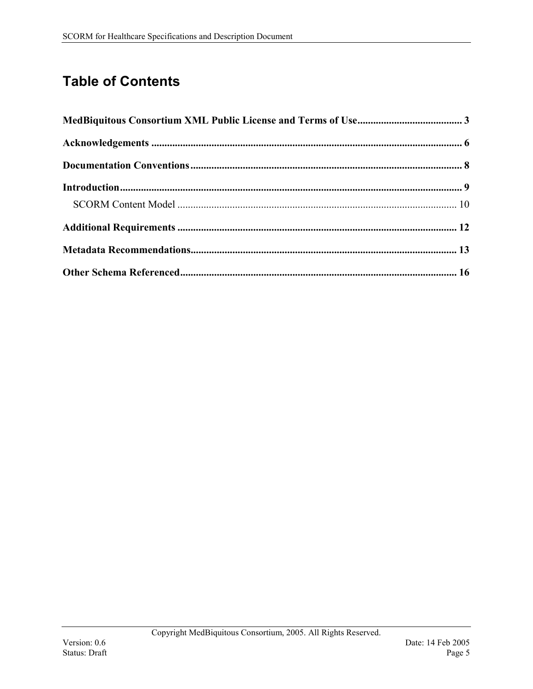# **Table of Contents**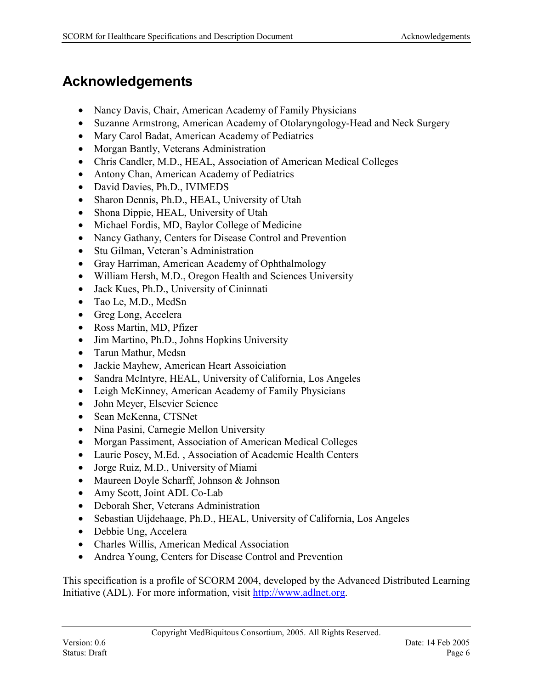### <span id="page-5-0"></span>**Acknowledgements**

- Nancy Davis, Chair, American Academy of Family Physicians
- Suzanne Armstrong, American Academy of Otolaryngology-Head and Neck Surgery
- Mary Carol Badat, American Academy of Pediatrics
- Morgan Bantly, Veterans Administration
- Chris Candler, M.D., HEAL, Association of American Medical Colleges
- Antony Chan, American Academy of Pediatrics
- David Davies, Ph.D., IVIMEDS
- Sharon Dennis, Ph.D., HEAL, University of Utah
- Shona Dippie, HEAL, University of Utah
- Michael Fordis, MD, Baylor College of Medicine
- Nancy Gathany, Centers for Disease Control and Prevention
- Stu Gilman, Veteran's Administration
- Gray Harriman, American Academy of Ophthalmology
- William Hersh, M.D., Oregon Health and Sciences University
- Jack Kues, Ph.D., University of Cininnati
- Tao Le, M.D., MedSn
- Greg Long, Accelera
- Ross Martin, MD, Pfizer
- Jim Martino, Ph.D., Johns Hopkins University
- Tarun Mathur, Medsn
- Jackie Mayhew, American Heart Assoiciation
- Sandra McIntyre, HEAL, University of California, Los Angeles
- Leigh McKinney, American Academy of Family Physicians
- John Meyer, Elsevier Science
- Sean McKenna, CTSNet
- Nina Pasini, Carnegie Mellon University
- Morgan Passiment, Association of American Medical Colleges
- Laurie Posey, M.Ed. , Association of Academic Health Centers
- Jorge Ruiz, M.D., University of Miami
- Maureen Doyle Scharff, Johnson & Johnson
- Amy Scott, Joint ADL Co-Lab
- Deborah Sher, Veterans Administration
- Sebastian Uijdehaage, Ph.D., HEAL, University of California, Los Angeles
- Debbie Ung, Accelera
- Charles Willis, American Medical Association
- Andrea Young, Centers for Disease Control and Prevention

This specification is a profile of SCORM 2004, developed by the Advanced Distributed Learning Initiative (ADL). For more information, visit [http://www.adlnet.org.](http://www.adlnet.org/)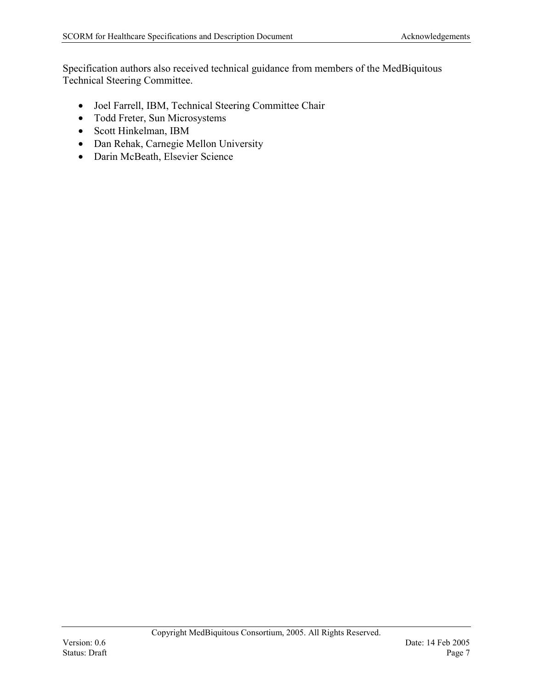Specification authors also received technical guidance from members of the MedBiquitous Technical Steering Committee.

- Joel Farrell, IBM, Technical Steering Committee Chair
- Todd Freter, Sun Microsystems
- Scott Hinkelman, IBM
- Dan Rehak, Carnegie Mellon University
- Darin McBeath, Elsevier Science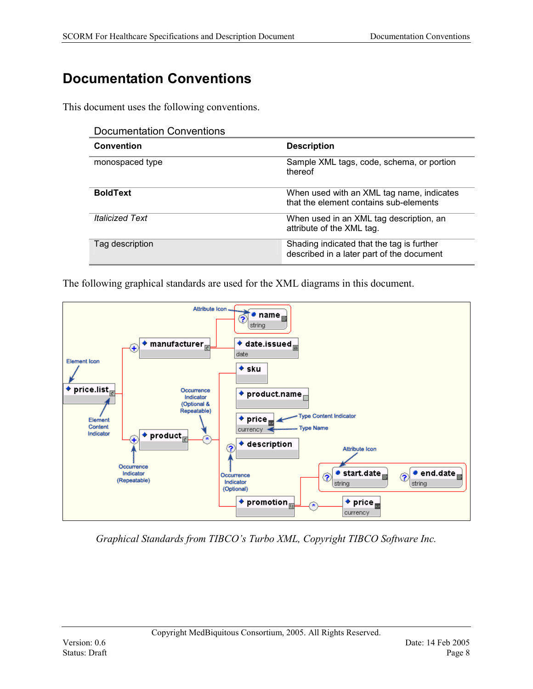# <span id="page-7-0"></span>**Documentation Conventions**

This document uses the following conventions.

| <b>Documentation Conventions</b> |                                                                                        |
|----------------------------------|----------------------------------------------------------------------------------------|
| <b>Convention</b>                | <b>Description</b>                                                                     |
| monospaced type                  | Sample XML tags, code, schema, or portion<br>thereof                                   |
| <b>BoldText</b>                  | When used with an XML tag name, indicates<br>that the element contains sub-elements    |
| <i><b>Italicized Text</b></i>    | When used in an XML tag description, an<br>attribute of the XML tag.                   |
| Tag description                  | Shading indicated that the tag is further<br>described in a later part of the document |

The following graphical standards are used for the XML diagrams in this document.



*Graphical Standards from TIBCO's Turbo XML, Copyright TIBCO Software Inc.*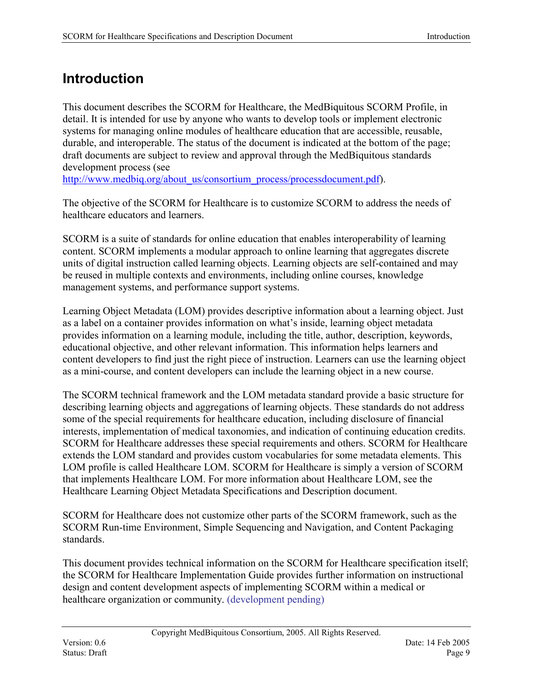### <span id="page-8-0"></span>**Introduction**

This document describes the SCORM for Healthcare, the MedBiquitous SCORM Profile, in detail. It is intended for use by anyone who wants to develop tools or implement electronic systems for managing online modules of healthcare education that are accessible, reusable, durable, and interoperable. The status of the document is indicated at the bottom of the page; draft documents are subject to review and approval through the MedBiquitous standards development process (see

http://www.medbig.org/about\_us/consortium\_process/processdocument.pdf).

The objective of the SCORM for Healthcare is to customize SCORM to address the needs of healthcare educators and learners.

SCORM is a suite of standards for online education that enables interoperability of learning content. SCORM implements a modular approach to online learning that aggregates discrete units of digital instruction called learning objects. Learning objects are self-contained and may be reused in multiple contexts and environments, including online courses, knowledge management systems, and performance support systems.

Learning Object Metadata (LOM) provides descriptive information about a learning object. Just as a label on a container provides information on what's inside, learning object metadata provides information on a learning module, including the title, author, description, keywords, educational objective, and other relevant information. This information helps learners and content developers to find just the right piece of instruction. Learners can use the learning object as a mini-course, and content developers can include the learning object in a new course.

The SCORM technical framework and the LOM metadata standard provide a basic structure for describing learning objects and aggregations of learning objects. These standards do not address some of the special requirements for healthcare education, including disclosure of financial interests, implementation of medical taxonomies, and indication of continuing education credits. SCORM for Healthcare addresses these special requirements and others. SCORM for Healthcare extends the LOM standard and provides custom vocabularies for some metadata elements. This LOM profile is called Healthcare LOM. SCORM for Healthcare is simply a version of SCORM that implements Healthcare LOM. For more information about Healthcare LOM, see the Healthcare Learning Object Metadata Specifications and Description document.

SCORM for Healthcare does not customize other parts of the SCORM framework, such as the SCORM Run-time Environment, Simple Sequencing and Navigation, and Content Packaging standards.

This document provides technical information on the SCORM for Healthcare specification itself; the SCORM for Healthcare Implementation Guide provides further information on instructional design and content development aspects of implementing SCORM within a medical or healthcare organization or community. (development pending)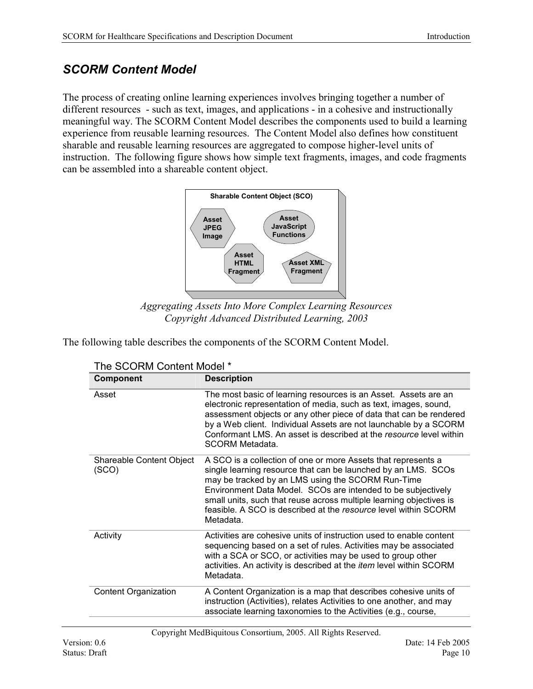### <span id="page-9-0"></span>*SCORM Content Model*

The process of creating online learning experiences involves bringing together a number of different resources - such as text, images, and applications - in a cohesive and instructionally meaningful way. The SCORM Content Model describes the components used to build a learning experience from reusable learning resources. The Content Model also defines how constituent sharable and reusable learning resources are aggregated to compose higher-level units of instruction. The following figure shows how simple text fragments, images, and code fragments can be assembled into a shareable content object.



*Aggregating Assets Into More Complex Learning Resources Copyright Advanced Distributed Learning, 2003* 

The following table describes the components of the SCORM Content Model.

| The SCORM Content Model *         |                                                                                                                                                                                                                                                                                                                                                                                                            |  |
|-----------------------------------|------------------------------------------------------------------------------------------------------------------------------------------------------------------------------------------------------------------------------------------------------------------------------------------------------------------------------------------------------------------------------------------------------------|--|
| <b>Component</b>                  | <b>Description</b>                                                                                                                                                                                                                                                                                                                                                                                         |  |
| Asset                             | The most basic of learning resources is an Asset. Assets are an<br>electronic representation of media, such as text, images, sound,<br>assessment objects or any other piece of data that can be rendered<br>by a Web client. Individual Assets are not launchable by a SCORM<br>Conformant LMS. An asset is described at the resource level within<br><b>SCORM Metadata.</b>                              |  |
| Shareable Content Object<br>(SCO) | A SCO is a collection of one or more Assets that represents a<br>single learning resource that can be launched by an LMS. SCOs<br>may be tracked by an LMS using the SCORM Run-Time<br>Environment Data Model. SCOs are intended to be subjectively<br>small units, such that reuse across multiple learning objectives is<br>feasible. A SCO is described at the resource level within SCORM<br>Metadata. |  |
| Activity                          | Activities are cohesive units of instruction used to enable content<br>sequencing based on a set of rules. Activities may be associated<br>with a SCA or SCO, or activities may be used to group other<br>activities. An activity is described at the <i>item</i> level within SCORM<br>Metadata.                                                                                                          |  |
| <b>Content Organization</b>       | A Content Organization is a map that describes cohesive units of<br>instruction (Activities), relates Activities to one another, and may<br>associate learning taxonomies to the Activities (e.g., course,                                                                                                                                                                                                 |  |

Copyright MedBiquitous Consortium, 2005. All Rights Reserved.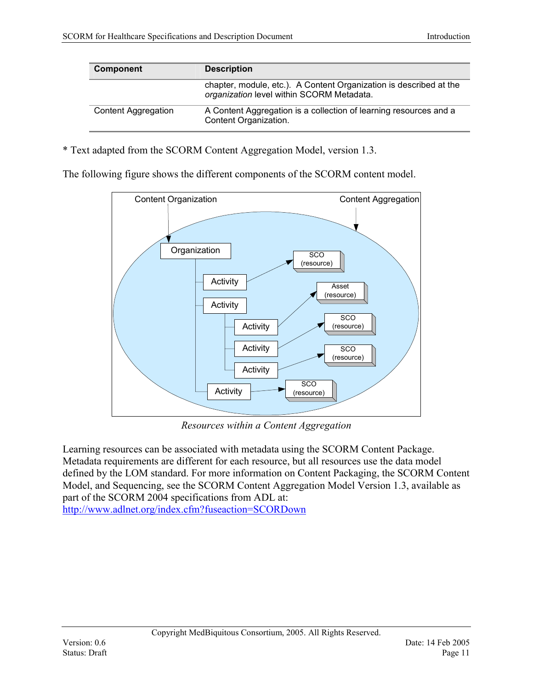| <b>Component</b>           | <b>Description</b>                                                                                              |  |
|----------------------------|-----------------------------------------------------------------------------------------------------------------|--|
|                            | chapter, module, etc.). A Content Organization is described at the<br>organization level within SCORM Metadata. |  |
| <b>Content Aggregation</b> | A Content Aggregation is a collection of learning resources and a<br>Content Organization.                      |  |

\* Text adapted from the SCORM Content Aggregation Model, version 1.3.

The following figure shows the different components of the SCORM content model.



*Resources within a Content Aggregation* 

Learning resources can be associated with metadata using the SCORM Content Package. Metadata requirements are different for each resource, but all resources use the data model defined by the LOM standard. For more information on Content Packaging, the SCORM Content Model, and Sequencing, see the SCORM Content Aggregation Model Version 1.3, available as part of the SCORM 2004 specifications from ADL at: <http://www.adlnet.org/index.cfm?fuseaction=SCORDown>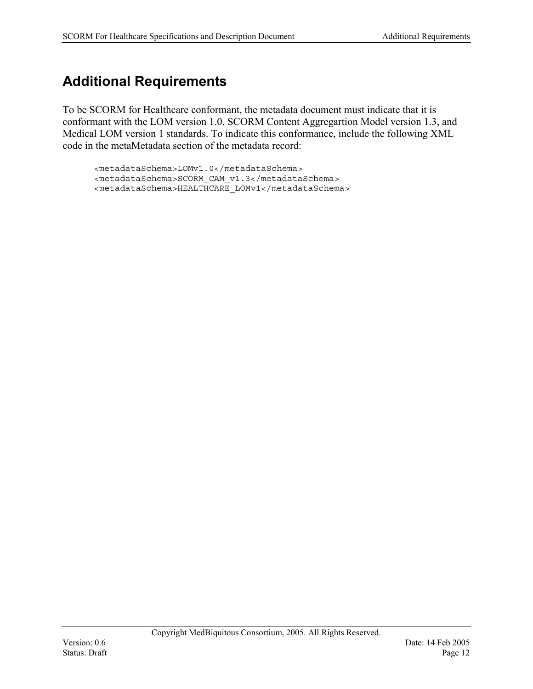# <span id="page-11-0"></span>**Additional Requirements**

To be SCORM for Healthcare conformant, the metadata document must indicate that it is conformant with the LOM version 1.0, SCORM Content Aggregartion Model version 1.3, and Medical LOM version 1 standards. To indicate this conformance, include the following XML code in the metaMetadata section of the metadata record:

<metadataSchema>LOMv1.0</metadataSchema> <metadataSchema>SCORM\_CAM\_v1.3</metadataSchema> <metadataSchema>HEALTHCARE\_LOMv1</metadataSchema>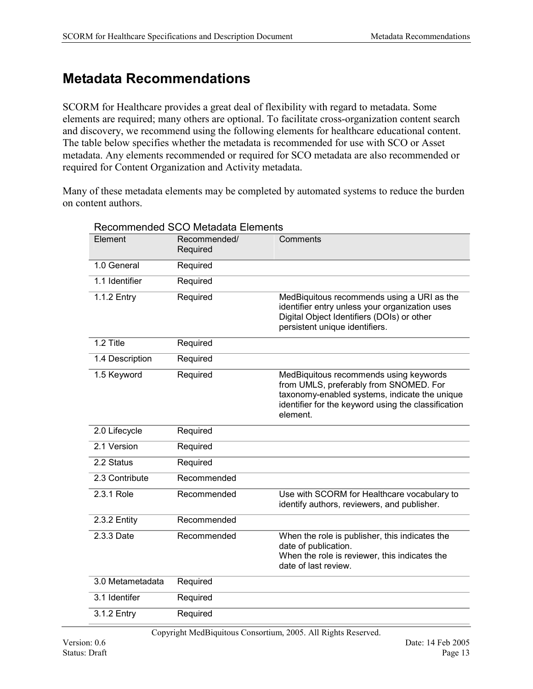### <span id="page-12-0"></span>**Metadata Recommendations**

SCORM for Healthcare provides a great deal of flexibility with regard to metadata. Some elements are required; many others are optional. To facilitate cross-organization content search and discovery, we recommend using the following elements for healthcare educational content. The table below specifies whether the metadata is recommended for use with SCO or Asset metadata. Any elements recommended or required for SCO metadata are also recommended or required for Content Organization and Activity metadata.

Many of these metadata elements may be completed by automated systems to reduce the burden on content authors.

| Recommended/<br>Required | Comments                                                                                                                                                                                             |
|--------------------------|------------------------------------------------------------------------------------------------------------------------------------------------------------------------------------------------------|
| Required                 |                                                                                                                                                                                                      |
| Required                 |                                                                                                                                                                                                      |
| Required                 | MedBiquitous recommends using a URI as the<br>identifier entry unless your organization uses<br>Digital Object Identifiers (DOIs) or other<br>persistent unique identifiers.                         |
| Required                 |                                                                                                                                                                                                      |
| Required                 |                                                                                                                                                                                                      |
| Required                 | MedBiquitous recommends using keywords<br>from UMLS, preferably from SNOMED. For<br>taxonomy-enabled systems, indicate the unique<br>identifier for the keyword using the classification<br>element. |
| Required                 |                                                                                                                                                                                                      |
| Required                 |                                                                                                                                                                                                      |
| Required                 |                                                                                                                                                                                                      |
| Recommended              |                                                                                                                                                                                                      |
| Recommended              | Use with SCORM for Healthcare vocabulary to<br>identify authors, reviewers, and publisher.                                                                                                           |
| Recommended              |                                                                                                                                                                                                      |
| Recommended              | When the role is publisher, this indicates the<br>date of publication.<br>When the role is reviewer, this indicates the<br>date of last review.                                                      |
| Required                 |                                                                                                                                                                                                      |
| Required                 |                                                                                                                                                                                                      |
| Required                 |                                                                                                                                                                                                      |
|                          |                                                                                                                                                                                                      |

#### Recommended SCO Metadata Elements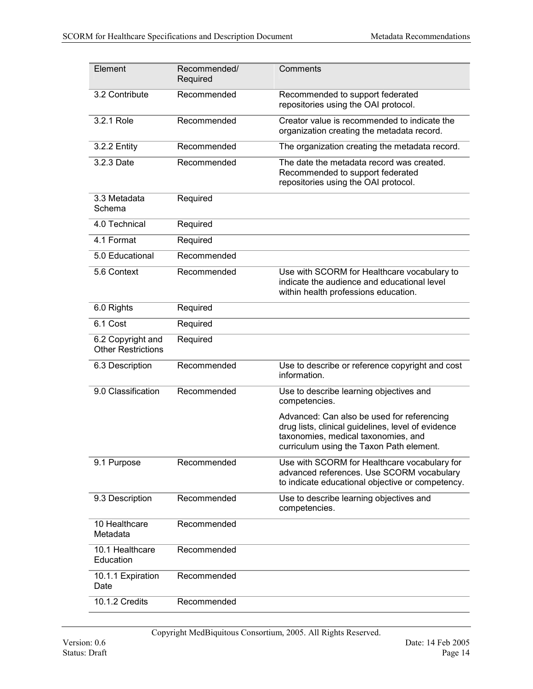| Element                                        | Recommended/ | Comments                                                                                                                                                                            |
|------------------------------------------------|--------------|-------------------------------------------------------------------------------------------------------------------------------------------------------------------------------------|
|                                                | Required     |                                                                                                                                                                                     |
| 3.2 Contribute                                 | Recommended  | Recommended to support federated<br>repositories using the OAI protocol.                                                                                                            |
| 3.2.1 Role                                     | Recommended  | Creator value is recommended to indicate the<br>organization creating the metadata record.                                                                                          |
| 3.2.2 Entity                                   | Recommended  | The organization creating the metadata record.                                                                                                                                      |
| 3.2.3 Date                                     | Recommended  | The date the metadata record was created.<br>Recommended to support federated<br>repositories using the OAI protocol.                                                               |
| 3.3 Metadata<br>Schema                         | Required     |                                                                                                                                                                                     |
| 4.0 Technical                                  | Required     |                                                                                                                                                                                     |
| 4.1 Format                                     | Required     |                                                                                                                                                                                     |
| 5.0 Educational                                | Recommended  |                                                                                                                                                                                     |
| 5.6 Context                                    | Recommended  | Use with SCORM for Healthcare vocabulary to<br>indicate the audience and educational level<br>within health professions education.                                                  |
| 6.0 Rights                                     | Required     |                                                                                                                                                                                     |
| 6.1 Cost                                       | Required     |                                                                                                                                                                                     |
| 6.2 Copyright and<br><b>Other Restrictions</b> | Required     |                                                                                                                                                                                     |
| 6.3 Description                                | Recommended  | Use to describe or reference copyright and cost<br>information.                                                                                                                     |
| 9.0 Classification                             | Recommended  | Use to describe learning objectives and<br>competencies.                                                                                                                            |
|                                                |              | Advanced: Can also be used for referencing<br>drug lists, clinical guidelines, level of evidence<br>taxonomies, medical taxonomies, and<br>curriculum using the Taxon Path element. |
| 9.1 Purpose                                    | Recommended  | Use with SCORM for Healthcare vocabulary for<br>advanced references. Use SCORM vocabulary<br>to indicate educational objective or competency.                                       |
| 9.3 Description                                | Recommended  | Use to describe learning objectives and<br>competencies.                                                                                                                            |
| 10 Healthcare<br>Metadata                      | Recommended  |                                                                                                                                                                                     |
| 10.1 Healthcare<br>Education                   | Recommended  |                                                                                                                                                                                     |
| 10.1.1 Expiration<br>Date                      | Recommended  |                                                                                                                                                                                     |
| 10.1.2 Credits                                 | Recommended  |                                                                                                                                                                                     |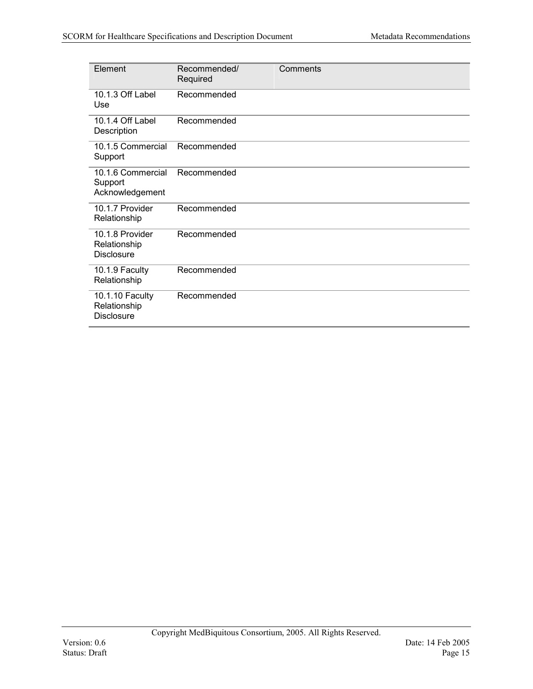| Element                                              | Recommended/<br>Required | Comments |
|------------------------------------------------------|--------------------------|----------|
| 10.1.3 Off Label<br>Use                              | Recommended              |          |
| 10.1.4 Off Label<br>Description                      | Recommended              |          |
| 10.1.5 Commercial<br>Support                         | Recommended              |          |
| 10.1.6 Commercial<br>Support<br>Acknowledgement      | Recommended              |          |
| 10.1.7 Provider<br>Relationship                      | Recommended              |          |
| 10.1.8 Provider<br>Relationship<br><b>Disclosure</b> | Recommended              |          |
| 10.1.9 Faculty<br>Relationship                       | Recommended              |          |
| 10.1.10 Faculty<br>Relationship<br><b>Disclosure</b> | Recommended              |          |